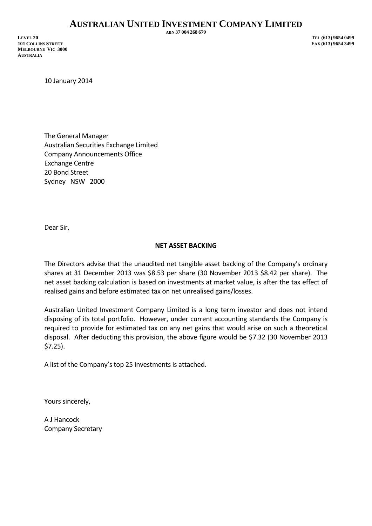## **AUSTRALIAN UNITED INVESTMENT COMPANY LIMITED**

**LEVEL 20 TEL (613) 9654 0499 101 COLLINS STREET MELBOURNE VIC 3000 AUSTRALIA** 

**ABN 37 004 268 679**

10 January 2014

The General Manager Australian Securities Exchange Limited Company Announcements Office Exchange Centre 20 Bond Street Sydney NSW 2000

Dear Sir,

## **NET ASSET BACKING**

The Directors advise that the unaudited net tangible asset backing of the Company's ordinary shares at 31 December 2013 was \$8.53 per share (30 November 2013 \$8.42 per share). The net asset backing calculation is based on investments at market value, is after the tax effect of realised gains and before estimated tax on net unrealised gains/losses.

Australian United Investment Company Limited is a long term investor and does not intend disposing of its total portfolio. However, under current accounting standards the Company is required to provide for estimated tax on any net gains that would arise on such a theoretical disposal. After deducting this provision, the above figure would be \$7.32 (30 November 2013 \$7.25).

A list of the Company's top 25 investments is attached.

Yours sincerely,

A J Hancock Company Secretary